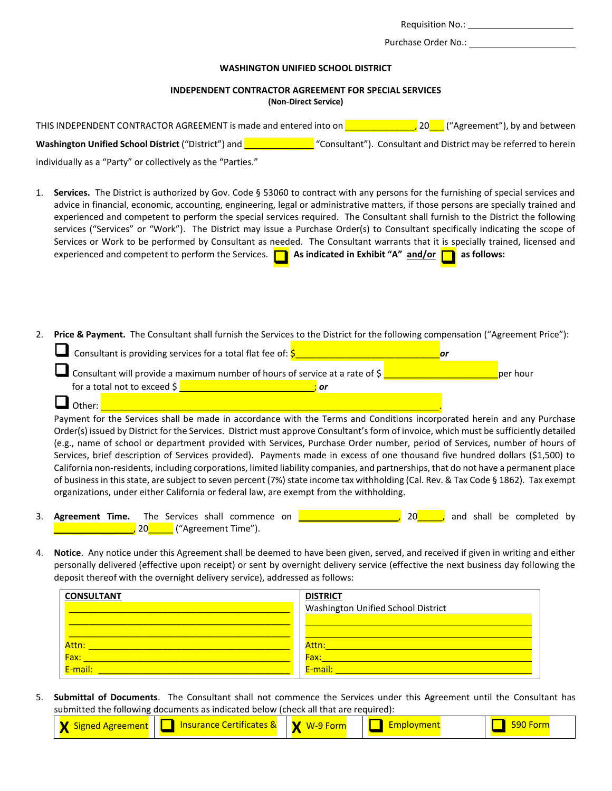Requisition No.:

Purchase Order No.:

### **WASHINGTON UNIFIED SCHOOL DISTRICT**

# **INDEPENDENT CONTRACTOR AGREEMENT FOR SPECIAL SERVICES**

**(Non-Direct Service)**

| THIS INDEPENDENT CONTRACTOR AGREEMENT is made and entered into on | ("Agreement"), by and between                                    |
|-------------------------------------------------------------------|------------------------------------------------------------------|
| <b>Washington Unified School District</b> ("District") and        | "Consultant"). Consultant and District may be referred to herein |
|                                                                   |                                                                  |

individually as a "Party" or collectively as the "Parties."

- 1. **Services.** The District is authorized by Gov. Code § 53060 to contract with any persons for the furnishing of special services and advice in financial, economic, accounting, engineering, legal or administrative matters, if those persons are specially trained and experienced and competent to perform the special services required. The Consultant shall furnish to the District the following services ("Services" or "Work"). The District may issue a Purchase Order(s) to Consultant specifically indicating the scope of Services or Work to be performed by Consultant as needed. The Consultant warrants that it is specially trained, licensed and experienced and competent to perform the Services.  $\Box$  **As indicated in Exhibit "A"** and/or  $\Box$  as follows:
- 2. **Price & Payment.** The Consultant shall furnish the Services to the District for the following compensation ("Agreement Price"):

| Consultant is providing services for a total flat fee of: $\frac{1}{5}$                            |          |
|----------------------------------------------------------------------------------------------------|----------|
| <b>Let</b> Consultant will provide a maximum number of hours of service at a rate of $\frac{1}{2}$ | ber hour |
| for a total not to exceed $\frac{1}{2}$<br>Οľ                                                      |          |
| $\Box$ Other:                                                                                      |          |

Payment for the Services shall be made in accordance with the Terms and Conditions incorporated herein and any Purchase Order(s) issued by District for the Services. District must approve Consultant's form of invoice, which must be sufficiently detailed (e.g., name of school or department provided with Services, Purchase Order number, period of Services, number of hours of Services, brief description of Services provided). Payments made in excess of one thousand five hundred dollars (\$1,500) to California non-residents, including corporations, limited liability companies, and partnerships, that do not have a permanent place of business in this state, are subject to seven percent (7%) state income tax withholding (Cal. Rev. & Tax Code § 1862). Tax exempt organizations, under either California or federal law, are exempt from the withholding.

- 3. **Agreement Time.** The Services shall commence on **Exercise 20 and shall be completed by** <mark>,</mark> 20<mark>\_\_\_\_\_\_</mark> ("Agreement Time").
- 4. **Notice**. Any notice under this Agreement shall be deemed to have been given, served, and received if given in writing and either personally delivered (effective upon receipt) or sent by overnight delivery service (effective the next business day following the deposit thereof with the overnight delivery service), addressed as follows:

| <b>CONSULTANT</b> | <b>DISTRICT</b>                    |
|-------------------|------------------------------------|
|                   | Washington Unified School District |
|                   |                                    |
|                   |                                    |
| Attn:             | Attn:                              |
| Fax:              | Fax:                               |
| E-mail:           | E-mail:                            |

5. **Submittal of Documents**. The Consultant shall not commence the Services under this Agreement until the Consultant has submitted the following documents as indicated below (check all that are required):

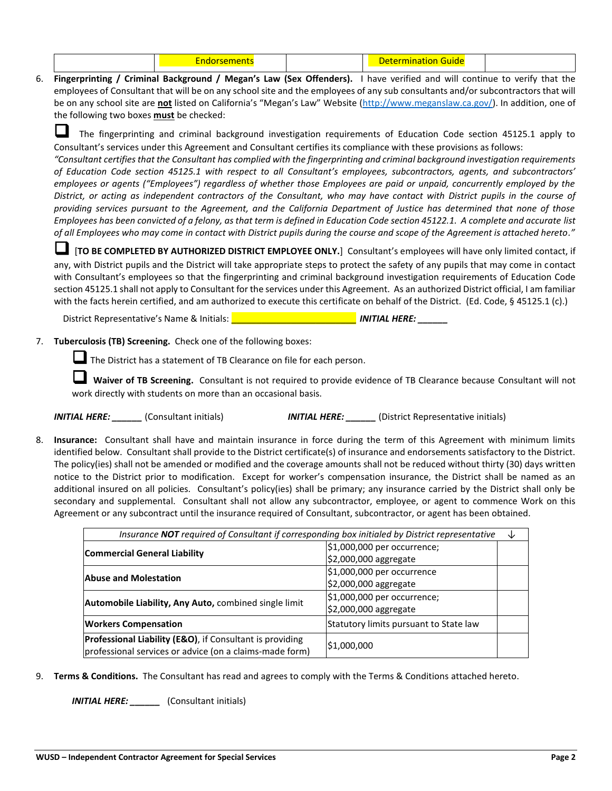|--|--|--|--|--|

6. **Fingerprinting / Criminal Background / Megan's Law (Sex Offenders).** I have verified and will continue to verify that the employees of Consultant that will be on any school site and the employees of any sub consultants and/or subcontractors that will be on any school site are **not** listed on California's "Megan's Law" Website ([http://www.meganslaw.ca.gov/\)](http://www.meganslaw.ca.gov/). In addition, one of the following two boxes **must** be checked:

 The fingerprinting and criminal background investigation requirements of Education Code section 45125.1 apply to Consultant's services under this Agreement and Consultant certifies its compliance with these provisions as follows:

*"Consultant certifies that the Consultant has complied with the fingerprinting and criminal background investigation requirements of Education Code section 45125.1 with respect to all Consultant's employees, subcontractors, agents, and subcontractors' employees or agents ("Employees") regardless of whether those Employees are paid or unpaid, concurrently employed by the District, or acting as independent contractors of the Consultant, who may have contact with District pupils in the course of providing services pursuant to the Agreement, and the California Department of Justice has determined that none of those Employees has been convicted of a felony, as that term is defined in Education Code section 45122.1. A complete and accurate list of all Employees who may come in contact with District pupils during the course and scope of the Agreement is attached hereto."*

 [**TO BE COMPLETED BY AUTHORIZED DISTRICT EMPLOYEE ONLY.**] Consultant's employees will have only limited contact, if any, with District pupils and the District will take appropriate steps to protect the safety of any pupils that may come in contact with Consultant's employees so that the fingerprinting and criminal background investigation requirements of Education Code section 45125.1 shall not apply to Consultant for the services under this Agreement. As an authorized District official, I am familiar with the facts herein certified, and am authorized to execute this certificate on behalf of the District. (Ed. Code, § 45125.1 (c).)

District Representative's Name & Initials: \_\_\_\_\_\_\_\_\_\_\_\_\_\_\_\_\_\_\_\_\_\_\_\_\_ *INITIAL HERE: \_\_\_\_\_\_*

7. **Tuberculosis (TB) Screening.** Check one of the following boxes:

The District has a statement of TB Clearance on file for each person.

 **Waiver of TB Screening.** Consultant is not required to provide evidence of TB Clearance because Consultant will not work directly with students on more than an occasional basis.

*INITIAL HERE: \_\_\_\_\_\_* (Consultant initials) *INITIAL HERE: \_\_\_\_\_\_* (District Representative initials)

8. **Insurance:** Consultant shall have and maintain insurance in force during the term of this Agreement with minimum limits identified below. Consultant shall provide to the District certificate(s) of insurance and endorsements satisfactory to the District. The policy(ies) shall not be amended or modified and the coverage amounts shall not be reduced without thirty (30) days written notice to the District prior to modification. Except for worker's compensation insurance, the District shall be named as an additional insured on all policies. Consultant's policy(ies) shall be primary; any insurance carried by the District shall only be secondary and supplemental. Consultant shall not allow any subcontractor, employee, or agent to commence Work on this Agreement or any subcontract until the insurance required of Consultant, subcontractor, or agent has been obtained.

| Insurance NOT required of Consultant if corresponding box initialed by District representative<br>↓                             |                                                        |  |
|---------------------------------------------------------------------------------------------------------------------------------|--------------------------------------------------------|--|
| <b>Commercial General Liability</b>                                                                                             | \$1,000,000 per occurrence;<br>\$2,000,000 aggregate   |  |
| <b>Abuse and Molestation</b>                                                                                                    | $$1,000,000$ per occurrence<br>$ $2,000,000$ aggregate |  |
| Automobile Liability, Any Auto, combined single limit                                                                           | \$1,000,000 per occurrence;<br>$ $2,000,000$ aggregate |  |
| <b>Workers Compensation</b>                                                                                                     | Statutory limits pursuant to State law                 |  |
| <b>Professional Liability (E&amp;O)</b> , if Consultant is providing<br>professional services or advice (on a claims-made form) | \$1,000,000                                            |  |

9. **Terms & Conditions.** The Consultant has read and agrees to comply with the Terms & Conditions attached hereto.

*INITIAL HERE: \_\_\_\_\_\_* (Consultant initials)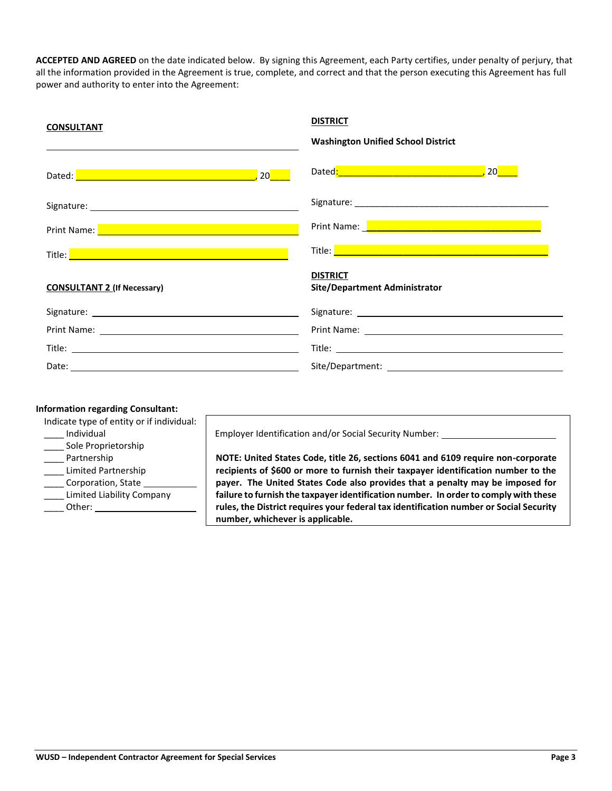**ACCEPTED AND AGREED** on the date indicated below. By signing this Agreement, each Party certifies, under penalty of perjury, that all the information provided in the Agreement is true, complete, and correct and that the person executing this Agreement has full power and authority to enter into the Agreement:

| <b>CONSULTANT</b>                                                                                                                                                                                                                    | <b>DISTRICT</b><br><b>Washington Unified School District</b>                                                         |
|--------------------------------------------------------------------------------------------------------------------------------------------------------------------------------------------------------------------------------------|----------------------------------------------------------------------------------------------------------------------|
|                                                                                                                                                                                                                                      |                                                                                                                      |
| Signature: the contract of the contract of the contract of the contract of the contract of the contract of the contract of the contract of the contract of the contract of the contract of the contract of the contract of the       |                                                                                                                      |
| Print Name: <b>Department of the Contract of the Contract of the Contract of the Contract of the Contract of the Contract of the Contract of the Contract of the Contract of the Contract of the Contract of the Contract of the</b> | Print Name: <u>New York: New York: New York: New York: New York: New York: New York: New York: New York: New Yor</u> |
|                                                                                                                                                                                                                                      |                                                                                                                      |
| <b>CONSULTANT 2 (If Necessary)</b>                                                                                                                                                                                                   | <b>DISTRICT</b><br><b>Site/Department Administrator</b>                                                              |
|                                                                                                                                                                                                                                      |                                                                                                                      |
|                                                                                                                                                                                                                                      |                                                                                                                      |
|                                                                                                                                                                                                                                      |                                                                                                                      |
|                                                                                                                                                                                                                                      |                                                                                                                      |

#### **Information regarding Consultant:**

| Indicate type of entity or if individual: |                                                                                        |
|-------------------------------------------|----------------------------------------------------------------------------------------|
| Individual                                | Employer Identification and/or Social Security Number:                                 |
| Sole Proprietorship                       |                                                                                        |
| Partnership                               | NOTE: United States Code, title 26, sections 6041 and 6109 require non-corporate       |
| Limited Partnership                       | recipients of \$600 or more to furnish their taxpayer identification number to the     |
| Corporation, State                        | payer. The United States Code also provides that a penalty may be imposed for          |
| Limited Liability Company                 | failure to furnish the taxpayer identification number. In order to comply with these   |
| Other:                                    | rules, the District requires your federal tax identification number or Social Security |
|                                           | number, whichever is applicable.                                                       |
|                                           |                                                                                        |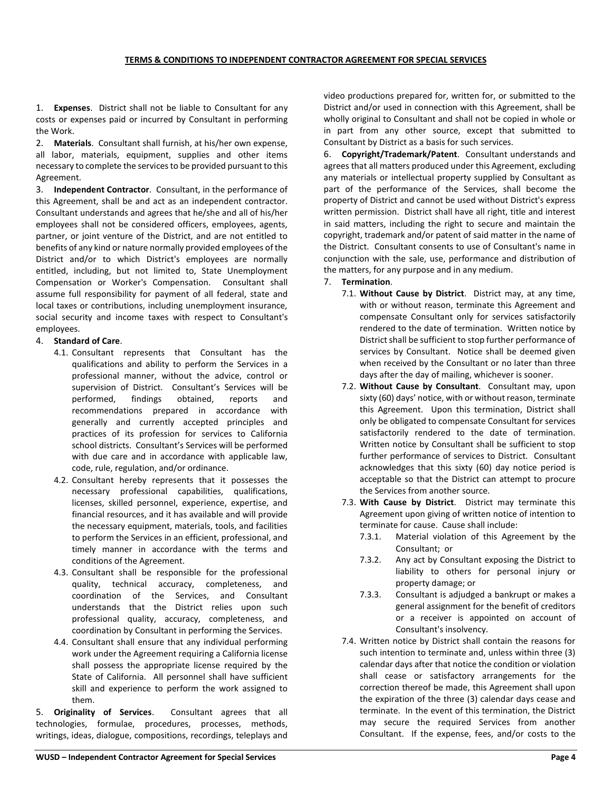1. **Expenses**. District shall not be liable to Consultant for any costs or expenses paid or incurred by Consultant in performing the Work.

2. **Materials**. Consultant shall furnish, at his/her own expense, all labor, materials, equipment, supplies and other items necessary to complete the services to be provided pursuant to this Agreement.

3. **Independent Contractor**. Consultant, in the performance of this Agreement, shall be and act as an independent contractor. Consultant understands and agrees that he/she and all of his/her employees shall not be considered officers, employees, agents, partner, or joint venture of the District, and are not entitled to benefits of any kind or nature normally provided employees of the District and/or to which District's employees are normally entitled, including, but not limited to, State Unemployment Compensation or Worker's Compensation. Consultant shall assume full responsibility for payment of all federal, state and local taxes or contributions, including unemployment insurance, social security and income taxes with respect to Consultant's employees.

## 4. **Standard of Care**.

- 4.1. Consultant represents that Consultant has the qualifications and ability to perform the Services in a professional manner, without the advice, control or supervision of District. Consultant's Services will be performed, findings obtained, reports and recommendations prepared in accordance with generally and currently accepted principles and practices of its profession for services to California school districts. Consultant's Services will be performed with due care and in accordance with applicable law, code, rule, regulation, and/or ordinance.
- 4.2. Consultant hereby represents that it possesses the necessary professional capabilities, qualifications, licenses, skilled personnel, experience, expertise, and financial resources, and it has available and will provide the necessary equipment, materials, tools, and facilities to perform the Services in an efficient, professional, and timely manner in accordance with the terms and conditions of the Agreement.
- 4.3. Consultant shall be responsible for the professional quality, technical accuracy, completeness, and coordination of the Services, and Consultant understands that the District relies upon such professional quality, accuracy, completeness, and coordination by Consultant in performing the Services.
- 4.4. Consultant shall ensure that any individual performing work under the Agreement requiring a California license shall possess the appropriate license required by the State of California. All personnel shall have sufficient skill and experience to perform the work assigned to them.

5. **Originality of Services**. Consultant agrees that all technologies, formulae, procedures, processes, methods, writings, ideas, dialogue, compositions, recordings, teleplays and

video productions prepared for, written for, or submitted to the District and/or used in connection with this Agreement, shall be wholly original to Consultant and shall not be copied in whole or in part from any other source, except that submitted to Consultant by District as a basis for such services.

6. **Copyright/Trademark/Patent**. Consultant understands and agrees that all matters produced under this Agreement, excluding any materials or intellectual property supplied by Consultant as part of the performance of the Services, shall become the property of District and cannot be used without District's express written permission. District shall have all right, title and interest in said matters, including the right to secure and maintain the copyright, trademark and/or patent of said matter in the name of the District. Consultant consents to use of Consultant's name in conjunction with the sale, use, performance and distribution of the matters, for any purpose and in any medium.

## 7. **Termination**.

- 7.1. **Without Cause by District**. District may, at any time, with or without reason, terminate this Agreement and compensate Consultant only for services satisfactorily rendered to the date of termination. Written notice by District shall be sufficient to stop further performance of services by Consultant. Notice shall be deemed given when received by the Consultant or no later than three days after the day of mailing, whichever is sooner.
- 7.2. **Without Cause by Consultant**. Consultant may, upon sixty (60) days' notice, with or without reason, terminate this Agreement. Upon this termination, District shall only be obligated to compensate Consultant for services satisfactorily rendered to the date of termination. Written notice by Consultant shall be sufficient to stop further performance of services to District. Consultant acknowledges that this sixty (60) day notice period is acceptable so that the District can attempt to procure the Services from another source.
- 7.3. **With Cause by District**. District may terminate this Agreement upon giving of written notice of intention to terminate for cause. Cause shall include:
	- 7.3.1. Material violation of this Agreement by the Consultant; or
	- 7.3.2. Any act by Consultant exposing the District to liability to others for personal injury or property damage; or
	- 7.3.3. Consultant is adjudged a bankrupt or makes a general assignment for the benefit of creditors or a receiver is appointed on account of Consultant's insolvency.
- 7.4. Written notice by District shall contain the reasons for such intention to terminate and, unless within three (3) calendar days after that notice the condition or violation shall cease or satisfactory arrangements for the correction thereof be made, this Agreement shall upon the expiration of the three (3) calendar days cease and terminate. In the event of this termination, the District may secure the required Services from another Consultant. If the expense, fees, and/or costs to the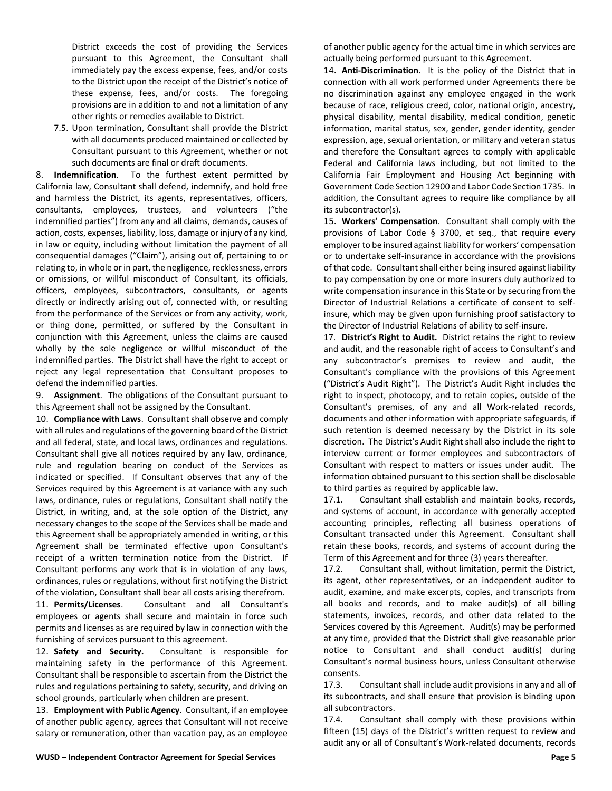District exceeds the cost of providing the Services pursuant to this Agreement, the Consultant shall immediately pay the excess expense, fees, and/or costs to the District upon the receipt of the District's notice of these expense, fees, and/or costs. The foregoing provisions are in addition to and not a limitation of any other rights or remedies available to District.

7.5. Upon termination, Consultant shall provide the District with all documents produced maintained or collected by Consultant pursuant to this Agreement, whether or not such documents are final or draft documents.

8. **Indemnification**. To the furthest extent permitted by California law, Consultant shall defend, indemnify, and hold free and harmless the District, its agents, representatives, officers, consultants, employees, trustees, and volunteers ("the indemnified parties") from any and all claims, demands, causes of action, costs, expenses, liability, loss, damage or injury of any kind, in law or equity, including without limitation the payment of all consequential damages ("Claim"), arising out of, pertaining to or relating to, in whole or in part, the negligence, recklessness, errors or omissions, or willful misconduct of Consultant, its officials, officers, employees, subcontractors, consultants, or agents directly or indirectly arising out of, connected with, or resulting from the performance of the Services or from any activity, work, or thing done, permitted, or suffered by the Consultant in conjunction with this Agreement, unless the claims are caused wholly by the sole negligence or willful misconduct of the indemnified parties. The District shall have the right to accept or reject any legal representation that Consultant proposes to defend the indemnified parties.

9. **Assignment**. The obligations of the Consultant pursuant to this Agreement shall not be assigned by the Consultant.

10. **Compliance with Laws**. Consultant shall observe and comply with all rules and regulations of the governing board of the District and all federal, state, and local laws, ordinances and regulations. Consultant shall give all notices required by any law, ordinance, rule and regulation bearing on conduct of the Services as indicated or specified. If Consultant observes that any of the Services required by this Agreement is at variance with any such laws, ordinance, rules or regulations, Consultant shall notify the District, in writing, and, at the sole option of the District, any necessary changes to the scope of the Services shall be made and this Agreement shall be appropriately amended in writing, or this Agreement shall be terminated effective upon Consultant's receipt of a written termination notice from the District. If Consultant performs any work that is in violation of any laws, ordinances, rules or regulations, without first notifying the District of the violation, Consultant shall bear all costs arising therefrom.

11. **Permits/Licenses**. Consultant and all Consultant's employees or agents shall secure and maintain in force such permits and licenses as are required by law in connection with the furnishing of services pursuant to this agreement.

12. **Safety and Security.** Consultant is responsible for maintaining safety in the performance of this Agreement. Consultant shall be responsible to ascertain from the District the rules and regulations pertaining to safety, security, and driving on school grounds, particularly when children are present.

13. **Employment with Public Agency**. Consultant, if an employee of another public agency, agrees that Consultant will not receive salary or remuneration, other than vacation pay, as an employee of another public agency for the actual time in which services are actually being performed pursuant to this Agreement.

14. **Anti-Discrimination**. It is the policy of the District that in connection with all work performed under Agreements there be no discrimination against any employee engaged in the work because of race, religious creed, color, national origin, ancestry, physical disability, mental disability, medical condition, genetic information, marital status, sex, gender, gender identity, gender expression, age, sexual orientation, or military and veteran status and therefore the Consultant agrees to comply with applicable Federal and California laws including, but not limited to the California Fair Employment and Housing Act beginning with Government Code Section 12900 and Labor Code Section 1735. In addition, the Consultant agrees to require like compliance by all its subcontractor(s).

15. **Workers' Compensation**. Consultant shall comply with the provisions of Labor Code § 3700, et seq., that require every employer to be insured against liability for workers' compensation or to undertake self-insurance in accordance with the provisions of that code. Consultant shall either being insured against liability to pay compensation by one or more insurers duly authorized to write compensation insurance in this State or by securing from the Director of Industrial Relations a certificate of consent to selfinsure, which may be given upon furnishing proof satisfactory to the Director of Industrial Relations of ability to self-insure.

17. **District's Right to Audit.** District retains the right to review and audit, and the reasonable right of access to Consultant's and any subcontractor's premises to review and audit, the Consultant's compliance with the provisions of this Agreement ("District's Audit Right"). The District's Audit Right includes the right to inspect, photocopy, and to retain copies, outside of the Consultant's premises, of any and all Work-related records, documents and other information with appropriate safeguards, if such retention is deemed necessary by the District in its sole discretion. The District's Audit Right shall also include the right to interview current or former employees and subcontractors of Consultant with respect to matters or issues under audit. The information obtained pursuant to this section shall be disclosable to third parties as required by applicable law.

17.1. Consultant shall establish and maintain books, records, and systems of account, in accordance with generally accepted accounting principles, reflecting all business operations of Consultant transacted under this Agreement. Consultant shall retain these books, records, and systems of account during the Term of this Agreement and for three (3) years thereafter.

17.2. Consultant shall, without limitation, permit the District, its agent, other representatives, or an independent auditor to audit, examine, and make excerpts, copies, and transcripts from all books and records, and to make audit(s) of all billing statements, invoices, records, and other data related to the Services covered by this Agreement. Audit(s) may be performed at any time, provided that the District shall give reasonable prior notice to Consultant and shall conduct audit(s) during Consultant's normal business hours, unless Consultant otherwise consents.

17.3. Consultant shall include audit provisions in any and all of its subcontracts, and shall ensure that provision is binding upon all subcontractors.

17.4. Consultant shall comply with these provisions within fifteen (15) days of the District's written request to review and audit any or all of Consultant's Work-related documents, records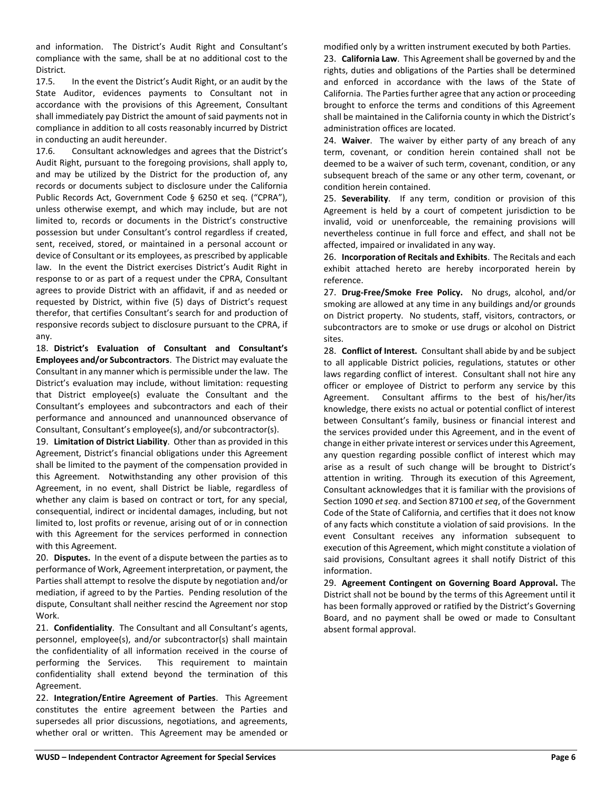and information. The District's Audit Right and Consultant's compliance with the same, shall be at no additional cost to the District.

17.5. In the event the District's Audit Right, or an audit by the State Auditor, evidences payments to Consultant not in accordance with the provisions of this Agreement, Consultant shall immediately pay District the amount of said payments not in compliance in addition to all costs reasonably incurred by District in conducting an audit hereunder.

17.6. Consultant acknowledges and agrees that the District's Audit Right, pursuant to the foregoing provisions, shall apply to, and may be utilized by the District for the production of, any records or documents subject to disclosure under the California Public Records Act, Government Code § 6250 et seq. ("CPRA"), unless otherwise exempt, and which may include, but are not limited to, records or documents in the District's constructive possession but under Consultant's control regardless if created, sent, received, stored, or maintained in a personal account or device of Consultant or its employees, as prescribed by applicable law. In the event the District exercises District's Audit Right in response to or as part of a request under the CPRA, Consultant agrees to provide District with an affidavit, if and as needed or requested by District, within five (5) days of District's request therefor, that certifies Consultant's search for and production of responsive records subject to disclosure pursuant to the CPRA, if any.

18. **District's Evaluation of Consultant and Consultant's Employees and/or Subcontractors**. The District may evaluate the Consultant in any manner which is permissible under the law. The District's evaluation may include, without limitation: requesting that District employee(s) evaluate the Consultant and the Consultant's employees and subcontractors and each of their performance and announced and unannounced observance of Consultant, Consultant's employee(s), and/or subcontractor(s).

19. **Limitation of District Liability**. Other than as provided in this Agreement, District's financial obligations under this Agreement shall be limited to the payment of the compensation provided in this Agreement. Notwithstanding any other provision of this Agreement, in no event, shall District be liable, regardless of whether any claim is based on contract or tort, for any special, consequential, indirect or incidental damages, including, but not limited to, lost profits or revenue, arising out of or in connection with this Agreement for the services performed in connection with this Agreement.

20. **Disputes.** In the event of a dispute between the parties as to performance of Work, Agreement interpretation, or payment, the Parties shall attempt to resolve the dispute by negotiation and/or mediation, if agreed to by the Parties. Pending resolution of the dispute, Consultant shall neither rescind the Agreement nor stop Work.

21. **Confidentiality**. The Consultant and all Consultant's agents, personnel, employee(s), and/or subcontractor(s) shall maintain the confidentiality of all information received in the course of performing the Services. This requirement to maintain confidentiality shall extend beyond the termination of this Agreement.

22. **Integration/Entire Agreement of Parties**. This Agreement constitutes the entire agreement between the Parties and supersedes all prior discussions, negotiations, and agreements, whether oral or written. This Agreement may be amended or modified only by a written instrument executed by both Parties. 23. **California Law**. This Agreement shall be governed by and the rights, duties and obligations of the Parties shall be determined and enforced in accordance with the laws of the State of California. The Parties further agree that any action or proceeding brought to enforce the terms and conditions of this Agreement shall be maintained in the California county in which the District's administration offices are located.

24. **Waiver**. The waiver by either party of any breach of any term, covenant, or condition herein contained shall not be deemed to be a waiver of such term, covenant, condition, or any subsequent breach of the same or any other term, covenant, or condition herein contained.

25. **Severability**. If any term, condition or provision of this Agreement is held by a court of competent jurisdiction to be invalid, void or unenforceable, the remaining provisions will nevertheless continue in full force and effect, and shall not be affected, impaired or invalidated in any way.

26. **Incorporation of Recitals and Exhibits**. The Recitals and each exhibit attached hereto are hereby incorporated herein by reference.

27. **Drug-Free/Smoke Free Policy.** No drugs, alcohol, and/or smoking are allowed at any time in any buildings and/or grounds on District property. No students, staff, visitors, contractors, or subcontractors are to smoke or use drugs or alcohol on District sites.

28. **Conflict of Interest.** Consultant shall abide by and be subject to all applicable District policies, regulations, statutes or other laws regarding conflict of interest. Consultant shall not hire any officer or employee of District to perform any service by this Agreement. Consultant affirms to the best of his/her/its knowledge, there exists no actual or potential conflict of interest between Consultant's family, business or financial interest and the services provided under this Agreement, and in the event of change in either private interest or services under this Agreement, any question regarding possible conflict of interest which may arise as a result of such change will be brought to District's attention in writing. Through its execution of this Agreement, Consultant acknowledges that it is familiar with the provisions of Section 1090 *et seq*. and Section 87100 *et seq*, of the Government Code of the State of California, and certifies that it does not know of any facts which constitute a violation of said provisions. In the event Consultant receives any information subsequent to execution of this Agreement, which might constitute a violation of said provisions, Consultant agrees it shall notify District of this information.

29. **Agreement Contingent on Governing Board Approval.** The District shall not be bound by the terms of this Agreement until it has been formally approved or ratified by the District's Governing Board, and no payment shall be owed or made to Consultant absent formal approval.